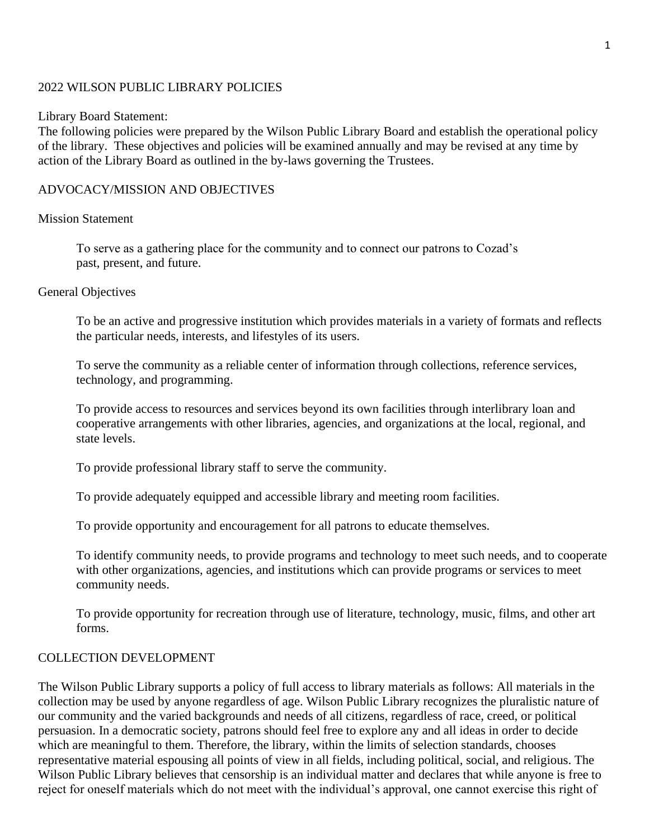### 2022 WILSON PUBLIC LIBRARY POLICIES

#### Library Board Statement:

The following policies were prepared by the Wilson Public Library Board and establish the operational policy of the library. These objectives and policies will be examined annually and may be revised at any time by action of the Library Board as outlined in the by-laws governing the Trustees.

#### ADVOCACY/MISSION AND OBJECTIVES

#### Mission Statement

To serve as a gathering place for the community and to connect our patrons to Cozad's past, present, and future.

#### General Objectives

To be an active and progressive institution which provides materials in a variety of formats and reflects the particular needs, interests, and lifestyles of its users.

To serve the community as a reliable center of information through collections, reference services, technology, and programming.

To provide access to resources and services beyond its own facilities through interlibrary loan and cooperative arrangements with other libraries, agencies, and organizations at the local, regional, and state levels.

To provide professional library staff to serve the community.

To provide adequately equipped and accessible library and meeting room facilities.

To provide opportunity and encouragement for all patrons to educate themselves.

To identify community needs, to provide programs and technology to meet such needs, and to cooperate with other organizations, agencies, and institutions which can provide programs or services to meet community needs.

To provide opportunity for recreation through use of literature, technology, music, films, and other art forms.

#### COLLECTION DEVELOPMENT

The Wilson Public Library supports a policy of full access to library materials as follows: All materials in the collection may be used by anyone regardless of age. Wilson Public Library recognizes the pluralistic nature of our community and the varied backgrounds and needs of all citizens, regardless of race, creed, or political persuasion. In a democratic society, patrons should feel free to explore any and all ideas in order to decide which are meaningful to them. Therefore, the library, within the limits of selection standards, chooses representative material espousing all points of view in all fields, including political, social, and religious. The Wilson Public Library believes that censorship is an individual matter and declares that while anyone is free to reject for oneself materials which do not meet with the individual's approval, one cannot exercise this right of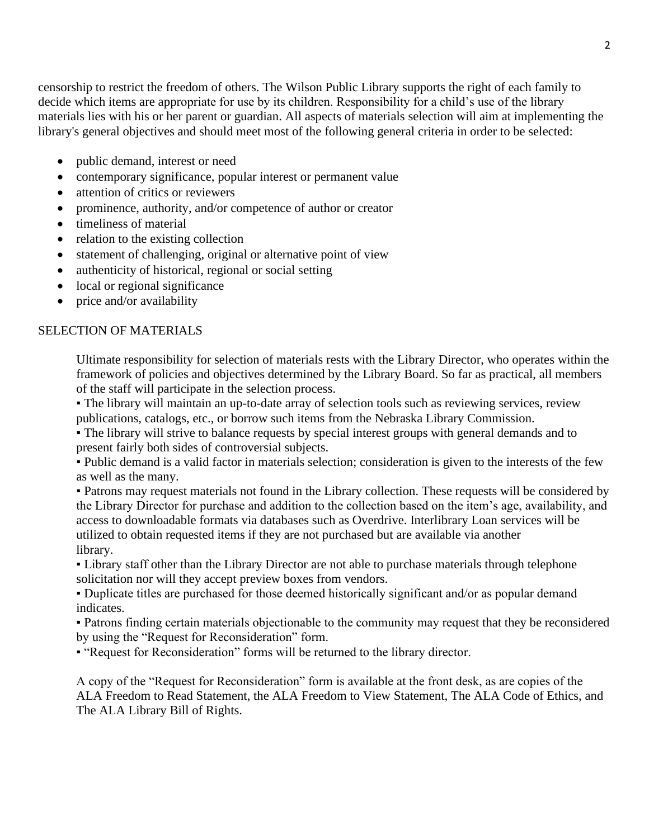censorship to restrict the freedom of others. The Wilson Public Library supports the right of each family to decide which items are appropriate for use by its children. Responsibility for a child's use of the library materials lies with his or her parent or guardian. All aspects of materials selection will aim at implementing the library's general objectives and should meet most of the following general criteria in order to be selected:

- public demand, interest or need
- contemporary significance, popular interest or permanent value
- attention of critics or reviewers
- prominence, authority, and/or competence of author or creator
- timeliness of material
- relation to the existing collection
- statement of challenging, original or alternative point of view
- authenticity of historical, regional or social setting
- local or regional significance
- price and/or availability

## SELECTION OF MATERIALS

Ultimate responsibility for selection of materials rests with the Library Director, who operates within the framework of policies and objectives determined by the Library Board. So far as practical, all members of the staff will participate in the selection process.

• The library will maintain an up-to-date array of selection tools such as reviewing services, review publications, catalogs, etc., or borrow such items from the Nebraska Library Commission.

• The library will strive to balance requests by special interest groups with general demands and to present fairly both sides of controversial subjects.

▪ Public demand is a valid factor in materials selection; consideration is given to the interests of the few as well as the many.

▪ Patrons may request materials not found in the Library collection. These requests will be considered by the Library Director for purchase and addition to the collection based on the item's age, availability, and access to downloadable formats via databases such as Overdrive. Interlibrary Loan services will be utilized to obtain requested items if they are not purchased but are available via another library.

▪ Library staff other than the Library Director are not able to purchase materials through telephone solicitation nor will they accept preview boxes from vendors.

▪ Duplicate titles are purchased for those deemed historically significant and/or as popular demand indicates.

▪ Patrons finding certain materials objectionable to the community may request that they be reconsidered by using the "Request for Reconsideration" form.

▪ "Request for Reconsideration" forms will be returned to the library director.

A copy of the "Request for Reconsideration" form is available at the front desk, as are copies of the ALA Freedom to Read Statement, the ALA Freedom to View Statement, The ALA Code of Ethics, and The ALA Library Bill of Rights.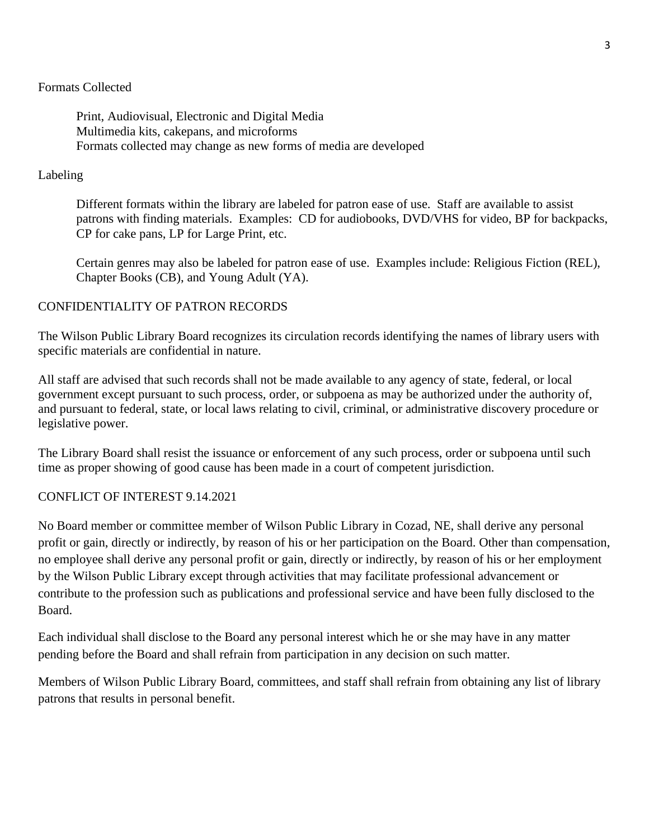## Formats Collected

Print, Audiovisual, Electronic and Digital Media Multimedia kits, cakepans, and microforms Formats collected may change as new forms of media are developed

## Labeling

Different formats within the library are labeled for patron ease of use. Staff are available to assist patrons with finding materials. Examples: CD for audiobooks, DVD/VHS for video, BP for backpacks, CP for cake pans, LP for Large Print, etc.

Certain genres may also be labeled for patron ease of use. Examples include: Religious Fiction (REL), Chapter Books (CB), and Young Adult (YA).

## CONFIDENTIALITY OF PATRON RECORDS

The Wilson Public Library Board recognizes its circulation records identifying the names of library users with specific materials are confidential in nature.

All staff are advised that such records shall not be made available to any agency of state, federal, or local government except pursuant to such process, order, or subpoena as may be authorized under the authority of, and pursuant to federal, state, or local laws relating to civil, criminal, or administrative discovery procedure or legislative power.

The Library Board shall resist the issuance or enforcement of any such process, order or subpoena until such time as proper showing of good cause has been made in a court of competent jurisdiction.

## CONFLICT OF INTEREST 9.14.2021

No Board member or committee member of Wilson Public Library in Cozad, NE, shall derive any personal profit or gain, directly or indirectly, by reason of his or her participation on the Board. Other than compensation, no employee shall derive any personal profit or gain, directly or indirectly, by reason of his or her employment by the Wilson Public Library except through activities that may facilitate professional advancement or contribute to the profession such as publications and professional service and have been fully disclosed to the Board.

Each individual shall disclose to the Board any personal interest which he or she may have in any matter pending before the Board and shall refrain from participation in any decision on such matter.

Members of Wilson Public Library Board, committees, and staff shall refrain from obtaining any list of library patrons that results in personal benefit.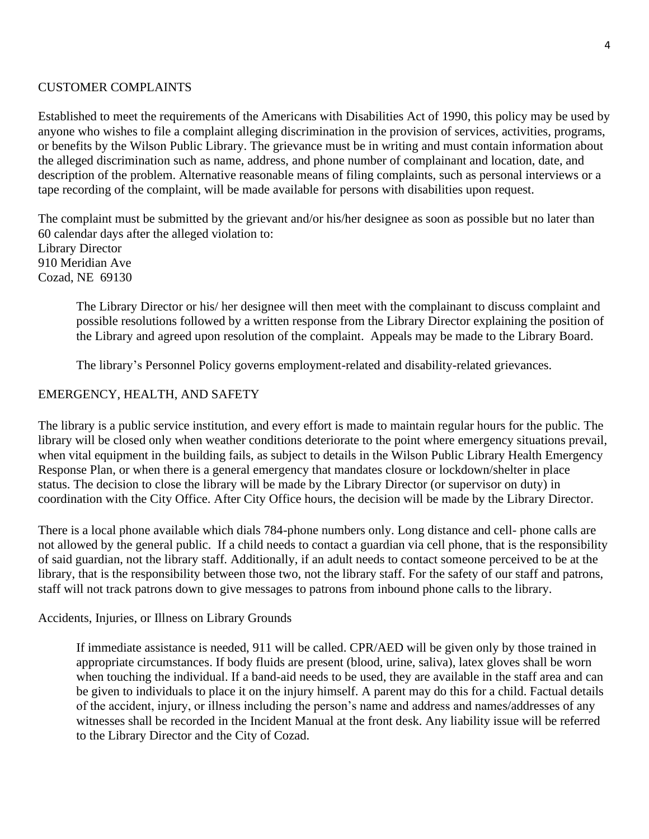## CUSTOMER COMPLAINTS

Established to meet the requirements of the Americans with Disabilities Act of 1990, this policy may be used by anyone who wishes to file a complaint alleging discrimination in the provision of services, activities, programs, or benefits by the Wilson Public Library. The grievance must be in writing and must contain information about the alleged discrimination such as name, address, and phone number of complainant and location, date, and description of the problem. Alternative reasonable means of filing complaints, such as personal interviews or a tape recording of the complaint, will be made available for persons with disabilities upon request.

The complaint must be submitted by the grievant and/or his/her designee as soon as possible but no later than 60 calendar days after the alleged violation to: Library Director 910 Meridian Ave Cozad, NE 69130

The Library Director or his/ her designee will then meet with the complainant to discuss complaint and possible resolutions followed by a written response from the Library Director explaining the position of the Library and agreed upon resolution of the complaint. Appeals may be made to the Library Board.

The library's Personnel Policy governs employment-related and disability-related grievances.

## EMERGENCY, HEALTH, AND SAFETY

The library is a public service institution, and every effort is made to maintain regular hours for the public. The library will be closed only when weather conditions deteriorate to the point where emergency situations prevail, when vital equipment in the building fails, as subject to details in the Wilson Public Library Health Emergency Response Plan, or when there is a general emergency that mandates closure or lockdown/shelter in place status. The decision to close the library will be made by the Library Director (or supervisor on duty) in coordination with the City Office. After City Office hours, the decision will be made by the Library Director.

There is a local phone available which dials 784-phone numbers only. Long distance and cell- phone calls are not allowed by the general public. If a child needs to contact a guardian via cell phone, that is the responsibility of said guardian, not the library staff. Additionally, if an adult needs to contact someone perceived to be at the library, that is the responsibility between those two, not the library staff. For the safety of our staff and patrons, staff will not track patrons down to give messages to patrons from inbound phone calls to the library.

Accidents, Injuries, or Illness on Library Grounds

If immediate assistance is needed, 911 will be called. CPR/AED will be given only by those trained in appropriate circumstances. If body fluids are present (blood, urine, saliva), latex gloves shall be worn when touching the individual. If a band-aid needs to be used, they are available in the staff area and can be given to individuals to place it on the injury himself. A parent may do this for a child. Factual details of the accident, injury, or illness including the person's name and address and names/addresses of any witnesses shall be recorded in the Incident Manual at the front desk. Any liability issue will be referred to the Library Director and the City of Cozad.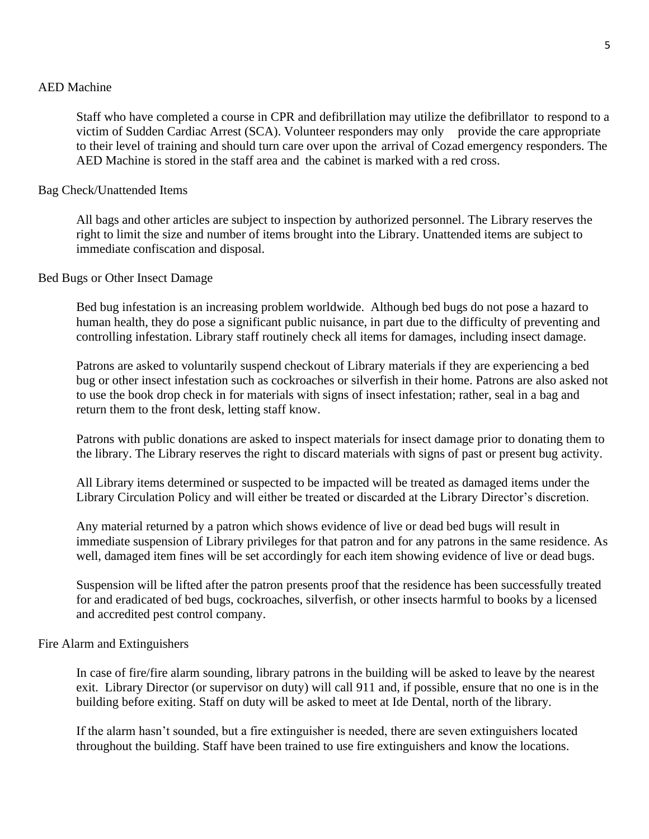#### AED Machine

Staff who have completed a course in CPR and defibrillation may utilize the defibrillator to respond to a victim of Sudden Cardiac Arrest (SCA). Volunteer responders may only provide the care appropriate to their level of training and should turn care over upon the arrival of Cozad emergency responders. The AED Machine is stored in the staff area and the cabinet is marked with a red cross.

#### Bag Check/Unattended Items

All bags and other articles are subject to inspection by authorized personnel. The Library reserves the right to limit the size and number of items brought into the Library. Unattended items are subject to immediate confiscation and disposal.

#### Bed Bugs or Other Insect Damage

Bed bug infestation is an increasing problem worldwide. Although bed bugs do not pose a hazard to human health, they do pose a significant public nuisance, in part due to the difficulty of preventing and controlling infestation. Library staff routinely check all items for damages, including insect damage.

Patrons are asked to voluntarily suspend checkout of Library materials if they are experiencing a bed bug or other insect infestation such as cockroaches or silverfish in their home. Patrons are also asked not to use the book drop check in for materials with signs of insect infestation; rather, seal in a bag and return them to the front desk, letting staff know.

Patrons with public donations are asked to inspect materials for insect damage prior to donating them to the library. The Library reserves the right to discard materials with signs of past or present bug activity.

All Library items determined or suspected to be impacted will be treated as damaged items under the Library Circulation Policy and will either be treated or discarded at the Library Director's discretion.

Any material returned by a patron which shows evidence of live or dead bed bugs will result in immediate suspension of Library privileges for that patron and for any patrons in the same residence. As well, damaged item fines will be set accordingly for each item showing evidence of live or dead bugs.

Suspension will be lifted after the patron presents proof that the residence has been successfully treated for and eradicated of bed bugs, cockroaches, silverfish, or other insects harmful to books by a licensed and accredited pest control company.

#### Fire Alarm and Extinguishers

In case of fire/fire alarm sounding, library patrons in the building will be asked to leave by the nearest exit. Library Director (or supervisor on duty) will call 911 and, if possible, ensure that no one is in the building before exiting. Staff on duty will be asked to meet at Ide Dental, north of the library.

If the alarm hasn't sounded, but a fire extinguisher is needed, there are seven extinguishers located throughout the building. Staff have been trained to use fire extinguishers and know the locations.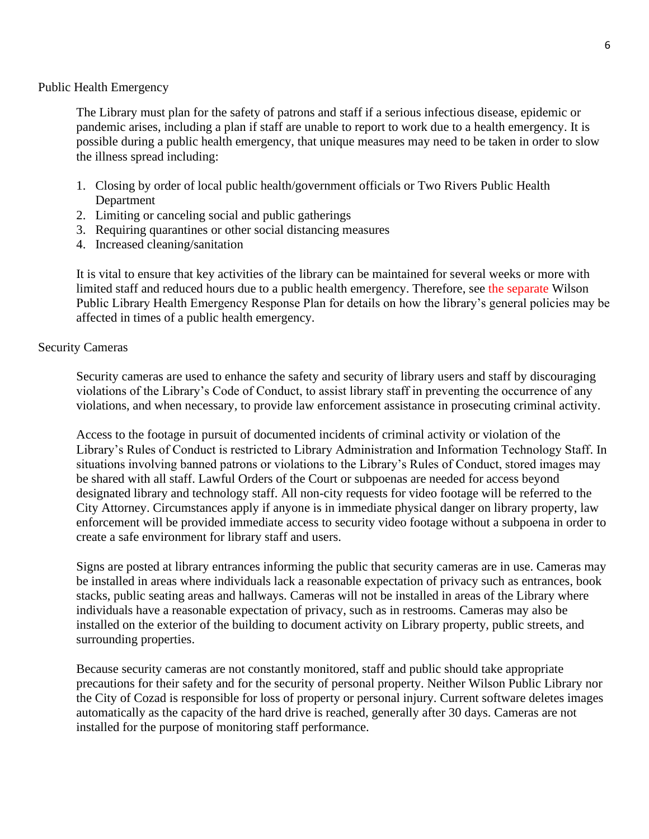### Public Health Emergency

The Library must plan for the safety of patrons and staff if a serious infectious disease, epidemic or pandemic arises, including a plan if staff are unable to report to work due to a health emergency. It is possible during a public health emergency, that unique measures may need to be taken in order to slow the illness spread including:

- 1. Closing by order of local public health/government officials or Two Rivers Public Health Department
- 2. Limiting or canceling social and public gatherings
- 3. Requiring quarantines or other social distancing measures
- 4. Increased cleaning/sanitation

It is vital to ensure that key activities of the library can be maintained for several weeks or more with limited staff and reduced hours due to a public health emergency. Therefore, see the separate Wilson Public Library Health Emergency Response Plan for details on how the library's general policies may be affected in times of a public health emergency.

## Security Cameras

Security cameras are used to enhance the safety and security of library users and staff by discouraging violations of the Library's Code of Conduct, to assist library staff in preventing the occurrence of any violations, and when necessary, to provide law enforcement assistance in prosecuting criminal activity.

Access to the footage in pursuit of documented incidents of criminal activity or violation of the Library's Rules of Conduct is restricted to Library Administration and Information Technology Staff. In situations involving banned patrons or violations to the Library's Rules of Conduct, stored images may be shared with all staff. Lawful Orders of the Court or subpoenas are needed for access beyond designated library and technology staff. All non-city requests for video footage will be referred to the City Attorney. Circumstances apply if anyone is in immediate physical danger on library property, law enforcement will be provided immediate access to security video footage without a subpoena in order to create a safe environment for library staff and users.

Signs are posted at library entrances informing the public that security cameras are in use. Cameras may be installed in areas where individuals lack a reasonable expectation of privacy such as entrances, book stacks, public seating areas and hallways. Cameras will not be installed in areas of the Library where individuals have a reasonable expectation of privacy, such as in restrooms. Cameras may also be installed on the exterior of the building to document activity on Library property, public streets, and surrounding properties.

Because security cameras are not constantly monitored, staff and public should take appropriate precautions for their safety and for the security of personal property. Neither Wilson Public Library nor the City of Cozad is responsible for loss of property or personal injury. Current software deletes images automatically as the capacity of the hard drive is reached, generally after 30 days. Cameras are not installed for the purpose of monitoring staff performance.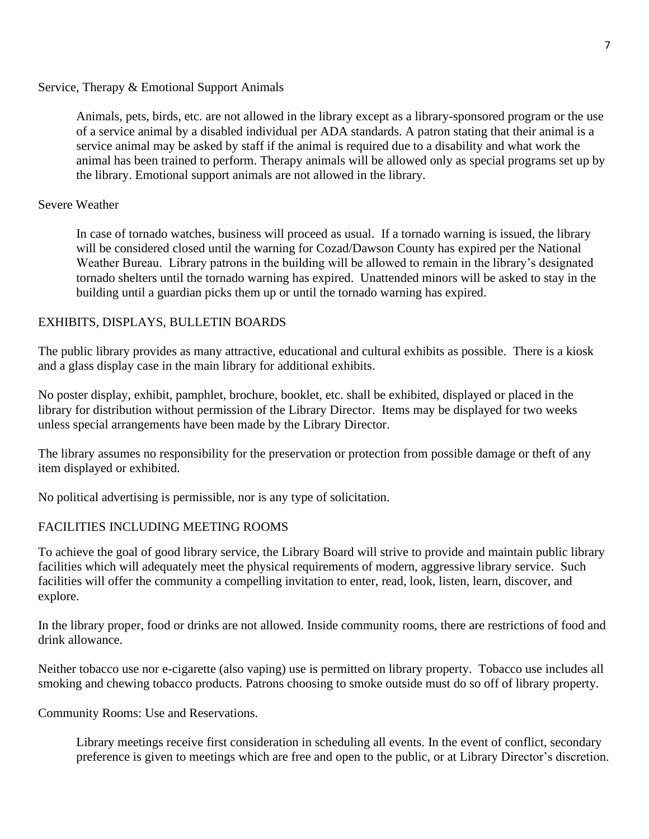Service, Therapy & Emotional Support Animals

Animals, pets, birds, etc. are not allowed in the library except as a library-sponsored program or the use of a service animal by a disabled individual per ADA standards. A patron stating that their animal is a service animal may be asked by staff if the animal is required due to a disability and what work the animal has been trained to perform. Therapy animals will be allowed only as special programs set up by the library. Emotional support animals are not allowed in the library.

### Severe Weather

In case of tornado watches, business will proceed as usual. If a tornado warning is issued, the library will be considered closed until the warning for Cozad/Dawson County has expired per the National Weather Bureau. Library patrons in the building will be allowed to remain in the library's designated tornado shelters until the tornado warning has expired. Unattended minors will be asked to stay in the building until a guardian picks them up or until the tornado warning has expired.

### EXHIBITS, DISPLAYS, BULLETIN BOARDS

The public library provides as many attractive, educational and cultural exhibits as possible. There is a kiosk and a glass display case in the main library for additional exhibits.

No poster display, exhibit, pamphlet, brochure, booklet, etc. shall be exhibited, displayed or placed in the library for distribution without permission of the Library Director. Items may be displayed for two weeks unless special arrangements have been made by the Library Director.

The library assumes no responsibility for the preservation or protection from possible damage or theft of any item displayed or exhibited.

No political advertising is permissible, nor is any type of solicitation.

## FACILITIES INCLUDING MEETING ROOMS

To achieve the goal of good library service, the Library Board will strive to provide and maintain public library facilities which will adequately meet the physical requirements of modern, aggressive library service. Such facilities will offer the community a compelling invitation to enter, read, look, listen, learn, discover, and explore.

In the library proper, food or drinks are not allowed. Inside community rooms, there are restrictions of food and drink allowance.

Neither tobacco use nor e-cigarette (also vaping) use is permitted on library property. Tobacco use includes all smoking and chewing tobacco products. Patrons choosing to smoke outside must do so off of library property.

Community Rooms: Use and Reservations.

Library meetings receive first consideration in scheduling all events. In the event of conflict, secondary preference is given to meetings which are free and open to the public, or at Library Director's discretion.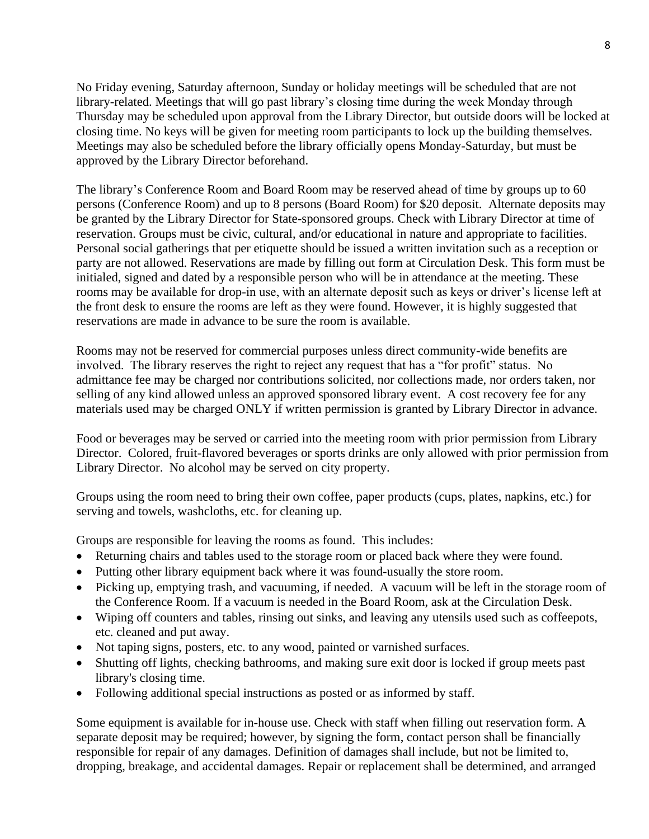No Friday evening, Saturday afternoon, Sunday or holiday meetings will be scheduled that are not library-related. Meetings that will go past library's closing time during the week Monday through Thursday may be scheduled upon approval from the Library Director, but outside doors will be locked at closing time. No keys will be given for meeting room participants to lock up the building themselves. Meetings may also be scheduled before the library officially opens Monday-Saturday, but must be approved by the Library Director beforehand.

The library's Conference Room and Board Room may be reserved ahead of time by groups up to 60 persons (Conference Room) and up to 8 persons (Board Room) for \$20 deposit. Alternate deposits may be granted by the Library Director for State-sponsored groups. Check with Library Director at time of reservation. Groups must be civic, cultural, and/or educational in nature and appropriate to facilities. Personal social gatherings that per etiquette should be issued a written invitation such as a reception or party are not allowed. Reservations are made by filling out form at Circulation Desk. This form must be initialed, signed and dated by a responsible person who will be in attendance at the meeting. These rooms may be available for drop-in use, with an alternate deposit such as keys or driver's license left at the front desk to ensure the rooms are left as they were found. However, it is highly suggested that reservations are made in advance to be sure the room is available.

Rooms may not be reserved for commercial purposes unless direct community-wide benefits are involved. The library reserves the right to reject any request that has a "for profit" status. No admittance fee may be charged nor contributions solicited, nor collections made, nor orders taken, nor selling of any kind allowed unless an approved sponsored library event. A cost recovery fee for any materials used may be charged ONLY if written permission is granted by Library Director in advance.

Food or beverages may be served or carried into the meeting room with prior permission from Library Director. Colored, fruit-flavored beverages or sports drinks are only allowed with prior permission from Library Director. No alcohol may be served on city property.

Groups using the room need to bring their own coffee, paper products (cups, plates, napkins, etc.) for serving and towels, washcloths, etc. for cleaning up.

Groups are responsible for leaving the rooms as found. This includes:

- Returning chairs and tables used to the storage room or placed back where they were found.
- Putting other library equipment back where it was found-usually the store room.
- Picking up, emptying trash, and vacuuming, if needed. A vacuum will be left in the storage room of the Conference Room. If a vacuum is needed in the Board Room, ask at the Circulation Desk.
- Wiping off counters and tables, rinsing out sinks, and leaving any utensils used such as coffeepots, etc. cleaned and put away.
- Not taping signs, posters, etc. to any wood, painted or varnished surfaces.
- Shutting off lights, checking bathrooms, and making sure exit door is locked if group meets past library's closing time.
- Following additional special instructions as posted or as informed by staff.

Some equipment is available for in-house use. Check with staff when filling out reservation form. A separate deposit may be required; however, by signing the form, contact person shall be financially responsible for repair of any damages. Definition of damages shall include, but not be limited to, dropping, breakage, and accidental damages. Repair or replacement shall be determined, and arranged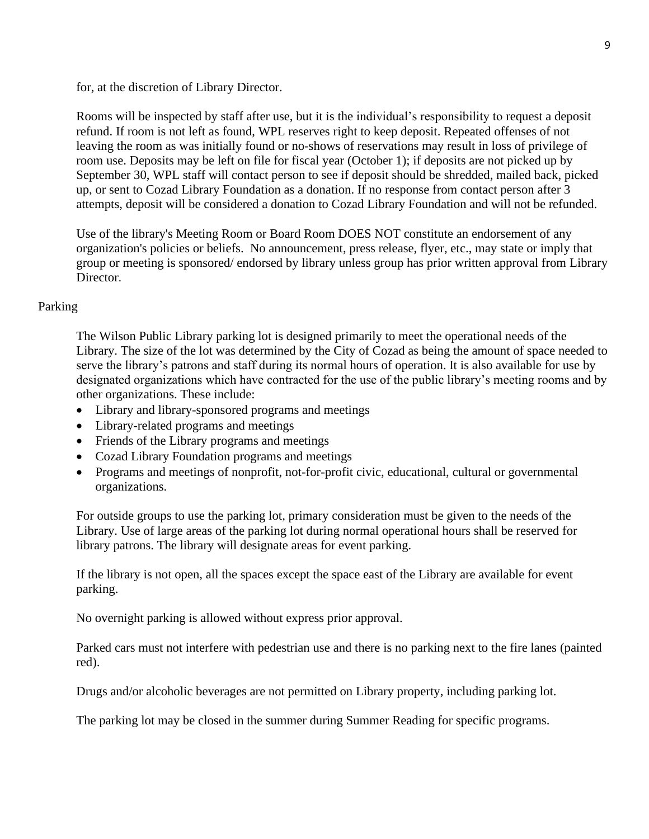for, at the discretion of Library Director.

Rooms will be inspected by staff after use, but it is the individual's responsibility to request a deposit refund. If room is not left as found, WPL reserves right to keep deposit. Repeated offenses of not leaving the room as was initially found or no-shows of reservations may result in loss of privilege of room use. Deposits may be left on file for fiscal year (October 1); if deposits are not picked up by September 30, WPL staff will contact person to see if deposit should be shredded, mailed back, picked up, or sent to Cozad Library Foundation as a donation. If no response from contact person after 3 attempts, deposit will be considered a donation to Cozad Library Foundation and will not be refunded.

Use of the library's Meeting Room or Board Room DOES NOT constitute an endorsement of any organization's policies or beliefs. No announcement, press release, flyer, etc., may state or imply that group or meeting is sponsored/ endorsed by library unless group has prior written approval from Library Director

## Parking

The Wilson Public Library parking lot is designed primarily to meet the operational needs of the Library. The size of the lot was determined by the City of Cozad as being the amount of space needed to serve the library's patrons and staff during its normal hours of operation. It is also available for use by designated organizations which have contracted for the use of the public library's meeting rooms and by other organizations. These include:

- Library and library-sponsored programs and meetings
- Library-related programs and meetings
- Friends of the Library programs and meetings
- Cozad Library Foundation programs and meetings
- Programs and meetings of nonprofit, not-for-profit civic, educational, cultural or governmental organizations.

For outside groups to use the parking lot, primary consideration must be given to the needs of the Library. Use of large areas of the parking lot during normal operational hours shall be reserved for library patrons. The library will designate areas for event parking.

If the library is not open, all the spaces except the space east of the Library are available for event parking.

No overnight parking is allowed without express prior approval.

Parked cars must not interfere with pedestrian use and there is no parking next to the fire lanes (painted red).

Drugs and/or alcoholic beverages are not permitted on Library property, including parking lot.

The parking lot may be closed in the summer during Summer Reading for specific programs.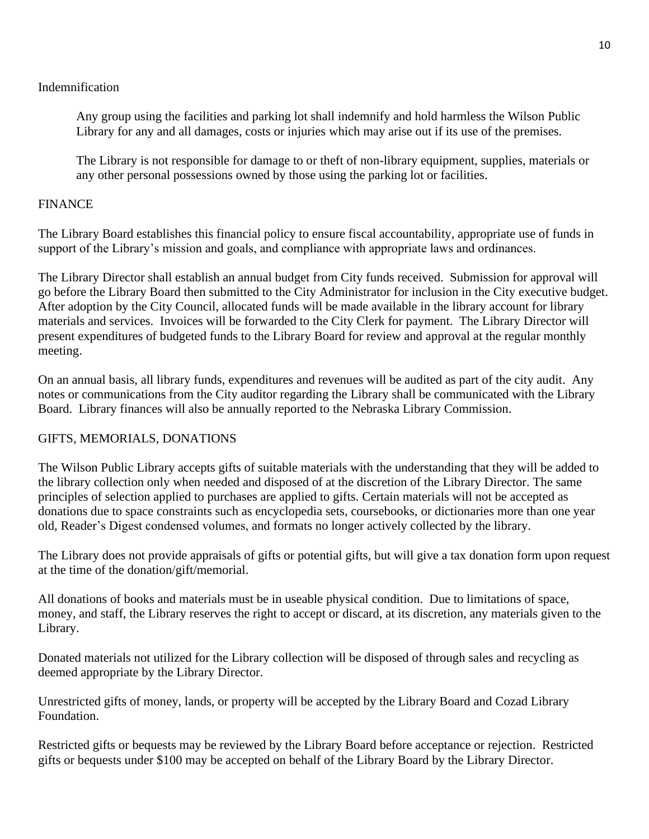# Indemnification

Any group using the facilities and parking lot shall indemnify and hold harmless the Wilson Public Library for any and all damages, costs or injuries which may arise out if its use of the premises.

The Library is not responsible for damage to or theft of non-library equipment, supplies, materials or any other personal possessions owned by those using the parking lot or facilities.

## FINANCE

The Library Board establishes this financial policy to ensure fiscal accountability, appropriate use of funds in support of the Library's mission and goals, and compliance with appropriate laws and ordinances.

The Library Director shall establish an annual budget from City funds received. Submission for approval will go before the Library Board then submitted to the City Administrator for inclusion in the City executive budget. After adoption by the City Council, allocated funds will be made available in the library account for library materials and services. Invoices will be forwarded to the City Clerk for payment. The Library Director will present expenditures of budgeted funds to the Library Board for review and approval at the regular monthly meeting.

On an annual basis, all library funds, expenditures and revenues will be audited as part of the city audit. Any notes or communications from the City auditor regarding the Library shall be communicated with the Library Board. Library finances will also be annually reported to the Nebraska Library Commission.

## GIFTS, MEMORIALS, DONATIONS

The Wilson Public Library accepts gifts of suitable materials with the understanding that they will be added to the library collection only when needed and disposed of at the discretion of the Library Director. The same principles of selection applied to purchases are applied to gifts. Certain materials will not be accepted as donations due to space constraints such as encyclopedia sets, coursebooks, or dictionaries more than one year old, Reader's Digest condensed volumes, and formats no longer actively collected by the library.

The Library does not provide appraisals of gifts or potential gifts, but will give a tax donation form upon request at the time of the donation/gift/memorial.

All donations of books and materials must be in useable physical condition. Due to limitations of space, money, and staff, the Library reserves the right to accept or discard, at its discretion, any materials given to the Library.

Donated materials not utilized for the Library collection will be disposed of through sales and recycling as deemed appropriate by the Library Director.

Unrestricted gifts of money, lands, or property will be accepted by the Library Board and Cozad Library Foundation.

Restricted gifts or bequests may be reviewed by the Library Board before acceptance or rejection. Restricted gifts or bequests under \$100 may be accepted on behalf of the Library Board by the Library Director.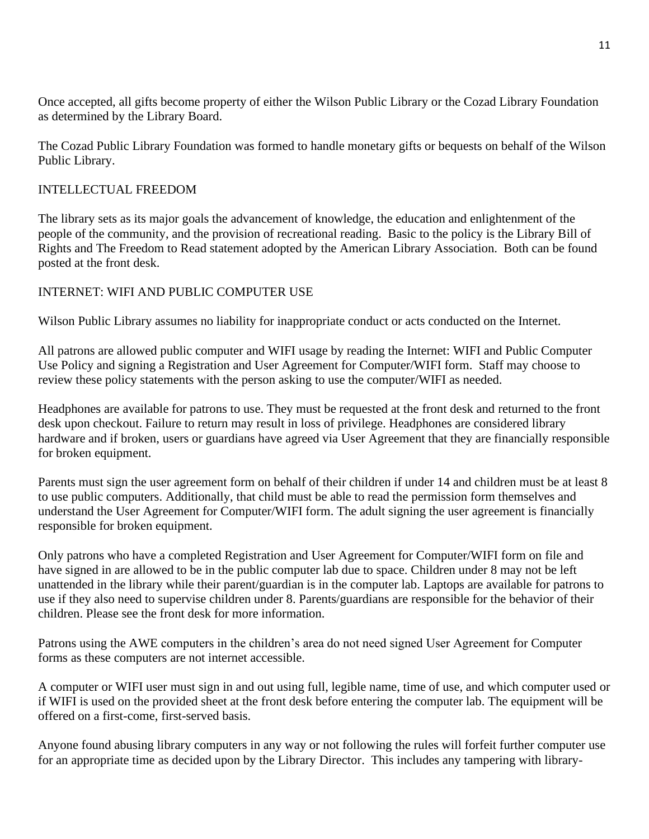Once accepted, all gifts become property of either the Wilson Public Library or the Cozad Library Foundation as determined by the Library Board.

The Cozad Public Library Foundation was formed to handle monetary gifts or bequests on behalf of the Wilson Public Library.

# INTELLECTUAL FREEDOM

The library sets as its major goals the advancement of knowledge, the education and enlightenment of the people of the community, and the provision of recreational reading. Basic to the policy is the Library Bill of Rights and The Freedom to Read statement adopted by the American Library Association. Both can be found posted at the front desk.

# INTERNET: WIFI AND PUBLIC COMPUTER USE

Wilson Public Library assumes no liability for inappropriate conduct or acts conducted on the Internet.

All patrons are allowed public computer and WIFI usage by reading the Internet: WIFI and Public Computer Use Policy and signing a Registration and User Agreement for Computer/WIFI form. Staff may choose to review these policy statements with the person asking to use the computer/WIFI as needed.

Headphones are available for patrons to use. They must be requested at the front desk and returned to the front desk upon checkout. Failure to return may result in loss of privilege. Headphones are considered library hardware and if broken, users or guardians have agreed via User Agreement that they are financially responsible for broken equipment.

Parents must sign the user agreement form on behalf of their children if under 14 and children must be at least 8 to use public computers. Additionally, that child must be able to read the permission form themselves and understand the User Agreement for Computer/WIFI form. The adult signing the user agreement is financially responsible for broken equipment.

Only patrons who have a completed Registration and User Agreement for Computer/WIFI form on file and have signed in are allowed to be in the public computer lab due to space. Children under 8 may not be left unattended in the library while their parent/guardian is in the computer lab. Laptops are available for patrons to use if they also need to supervise children under 8. Parents/guardians are responsible for the behavior of their children. Please see the front desk for more information.

Patrons using the AWE computers in the children's area do not need signed User Agreement for Computer forms as these computers are not internet accessible.

A computer or WIFI user must sign in and out using full, legible name, time of use, and which computer used or if WIFI is used on the provided sheet at the front desk before entering the computer lab. The equipment will be offered on a first-come, first-served basis.

Anyone found abusing library computers in any way or not following the rules will forfeit further computer use for an appropriate time as decided upon by the Library Director. This includes any tampering with library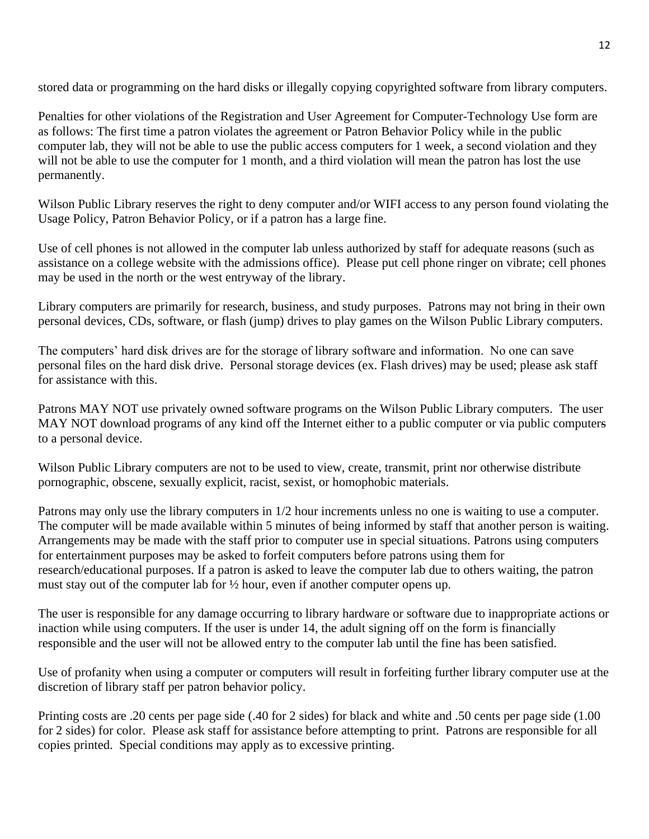stored data or programming on the hard disks or illegally copying copyrighted software from library computers.

Penalties for other violations of the Registration and User Agreement for Computer-Technology Use form are as follows: The first time a patron violates the agreement or Patron Behavior Policy while in the public computer lab, they will not be able to use the public access computers for 1 week, a second violation and they will not be able to use the computer for 1 month, and a third violation will mean the patron has lost the use permanently.

Wilson Public Library reserves the right to deny computer and/or WIFI access to any person found violating the Usage Policy, Patron Behavior Policy, or if a patron has a large fine.

Use of cell phones is not allowed in the computer lab unless authorized by staff for adequate reasons (such as assistance on a college website with the admissions office). Please put cell phone ringer on vibrate; cell phones may be used in the north or the west entryway of the library.

Library computers are primarily for research, business, and study purposes. Patrons may not bring in their own personal devices, CDs, software, or flash (jump) drives to play games on the Wilson Public Library computers.

The computers' hard disk drives are for the storage of library software and information. No one can save personal files on the hard disk drive. Personal storage devices (ex. Flash drives) may be used; please ask staff for assistance with this.

Patrons MAY NOT use privately owned software programs on the Wilson Public Library computers. The user MAY NOT download programs of any kind off the Internet either to a public computer or via public computers to a personal device.

Wilson Public Library computers are not to be used to view, create, transmit, print nor otherwise distribute pornographic, obscene, sexually explicit, racist, sexist, or homophobic materials.

Patrons may only use the library computers in 1/2 hour increments unless no one is waiting to use a computer. The computer will be made available within 5 minutes of being informed by staff that another person is waiting. Arrangements may be made with the staff prior to computer use in special situations. Patrons using computers for entertainment purposes may be asked to forfeit computers before patrons using them for research/educational purposes. If a patron is asked to leave the computer lab due to others waiting, the patron must stay out of the computer lab for ½ hour, even if another computer opens up.

The user is responsible for any damage occurring to library hardware or software due to inappropriate actions or inaction while using computers. If the user is under 14, the adult signing off on the form is financially responsible and the user will not be allowed entry to the computer lab until the fine has been satisfied.

Use of profanity when using a computer or computers will result in forfeiting further library computer use at the discretion of library staff per patron behavior policy.

Printing costs are .20 cents per page side (.40 for 2 sides) for black and white and .50 cents per page side (1.00 for 2 sides) for color. Please ask staff for assistance before attempting to print. Patrons are responsible for all copies printed. Special conditions may apply as to excessive printing.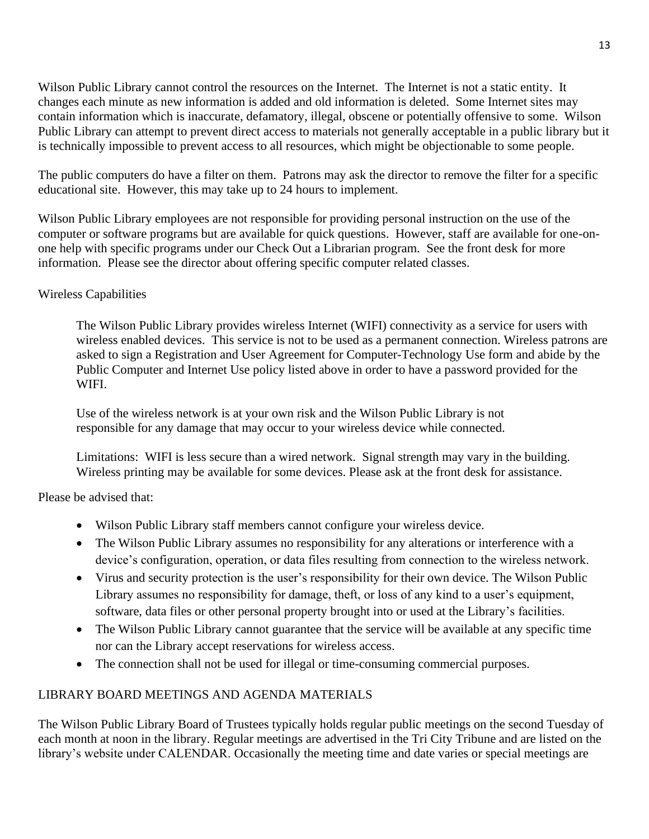Wilson Public Library cannot control the resources on the Internet. The Internet is not a static entity. It changes each minute as new information is added and old information is deleted. Some Internet sites may contain information which is inaccurate, defamatory, illegal, obscene or potentially offensive to some. Wilson Public Library can attempt to prevent direct access to materials not generally acceptable in a public library but it is technically impossible to prevent access to all resources, which might be objectionable to some people.

The public computers do have a filter on them. Patrons may ask the director to remove the filter for a specific educational site. However, this may take up to 24 hours to implement.

Wilson Public Library employees are not responsible for providing personal instruction on the use of the computer or software programs but are available for quick questions. However, staff are available for one-onone help with specific programs under our Check Out a Librarian program. See the front desk for more information. Please see the director about offering specific computer related classes.

# Wireless Capabilities

The Wilson Public Library provides wireless Internet (WIFI) connectivity as a service for users with wireless enabled devices. This service is not to be used as a permanent connection. Wireless patrons are asked to sign a Registration and User Agreement for Computer-Technology Use form and abide by the Public Computer and Internet Use policy listed above in order to have a password provided for the WIFI.

Use of the wireless network is at your own risk and the Wilson Public Library is not responsible for any damage that may occur to your wireless device while connected.

Limitations: WIFI is less secure than a wired network. Signal strength may vary in the building. Wireless printing may be available for some devices. Please ask at the front desk for assistance.

Please be advised that:

- Wilson Public Library staff members cannot configure your wireless device.
- The Wilson Public Library assumes no responsibility for any alterations or interference with a device's configuration, operation, or data files resulting from connection to the wireless network.
- Virus and security protection is the user's responsibility for their own device. The Wilson Public Library assumes no responsibility for damage, theft, or loss of any kind to a user's equipment, software, data files or other personal property brought into or used at the Library's facilities.
- The Wilson Public Library cannot guarantee that the service will be available at any specific time nor can the Library accept reservations for wireless access.
- The connection shall not be used for illegal or time-consuming commercial purposes.

# LIBRARY BOARD MEETINGS AND AGENDA MATERIALS

The Wilson Public Library Board of Trustees typically holds regular public meetings on the second Tuesday of each month at noon in the library. Regular meetings are advertised in the Tri City Tribune and are listed on the library's website under CALENDAR. Occasionally the meeting time and date varies or special meetings are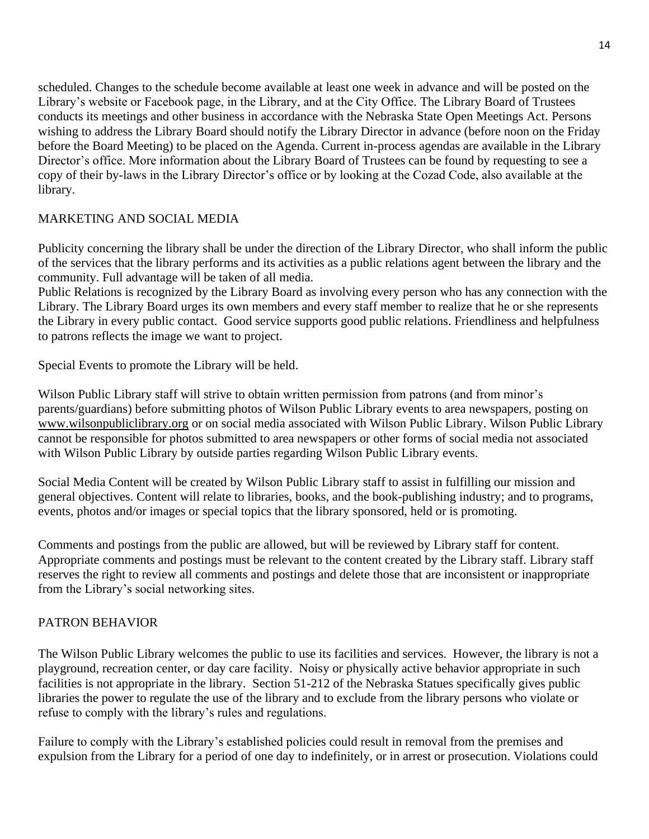scheduled. Changes to the schedule become available at least one week in advance and will be posted on the Library's website or Facebook page, in the Library, and at the City Office. The Library Board of Trustees conducts its meetings and other business in accordance with the Nebraska State Open Meetings Act. Persons wishing to address the Library Board should notify the Library Director in advance (before noon on the Friday before the Board Meeting) to be placed on the Agenda. Current in-process agendas are available in the Library Director's office. More information about the Library Board of Trustees can be found by requesting to see a copy of their by-laws in the Library Director's office or by looking at the Cozad Code, also available at the library.

# MARKETING AND SOCIAL MEDIA

Publicity concerning the library shall be under the direction of the Library Director, who shall inform the public of the services that the library performs and its activities as a public relations agent between the library and the community. Full advantage will be taken of all media.

Public Relations is recognized by the Library Board as involving every person who has any connection with the Library. The Library Board urges its own members and every staff member to realize that he or she represents the Library in every public contact. Good service supports good public relations. Friendliness and helpfulness to patrons reflects the image we want to project.

Special Events to promote the Library will be held.

Wilson Public Library staff will strive to obtain written permission from patrons (and from minor's parents/guardians) before submitting photos of Wilson Public Library events to area newspapers, posting on [www.wilsonpubliclibrary.org](http://www.wilsonpubliclibrary.org/) or on social media associated with Wilson Public Library. Wilson Public Library cannot be responsible for photos submitted to area newspapers or other forms of social media not associated with Wilson Public Library by outside parties regarding Wilson Public Library events.

Social Media Content will be created by Wilson Public Library staff to assist in fulfilling our mission and general objectives. Content will relate to libraries, books, and the book-publishing industry; and to programs, events, photos and/or images or special topics that the library sponsored, held or is promoting.

Comments and postings from the public are allowed, but will be reviewed by Library staff for content. Appropriate comments and postings must be relevant to the content created by the Library staff. Library staff reserves the right to review all comments and postings and delete those that are inconsistent or inappropriate from the Library's social networking sites.

# PATRON BEHAVIOR

The Wilson Public Library welcomes the public to use its facilities and services. However, the library is not a playground, recreation center, or day care facility. Noisy or physically active behavior appropriate in such facilities is not appropriate in the library. Section 51-212 of the Nebraska Statues specifically gives public libraries the power to regulate the use of the library and to exclude from the library persons who violate or refuse to comply with the library's rules and regulations.

Failure to comply with the Library's established policies could result in removal from the premises and expulsion from the Library for a period of one day to indefinitely, or in arrest or prosecution. Violations could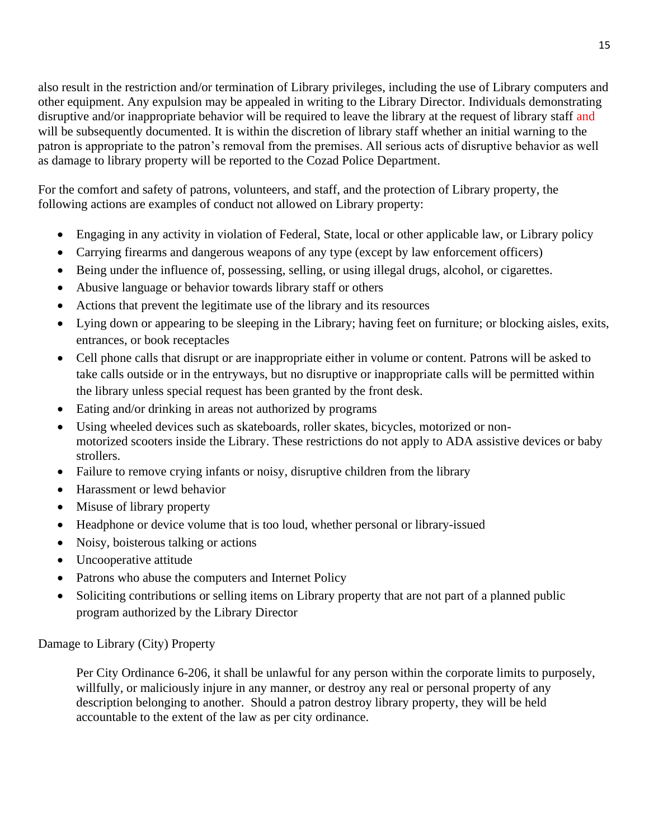also result in the restriction and/or termination of Library privileges, including the use of Library computers and other equipment. Any expulsion may be appealed in writing to the Library Director. Individuals demonstrating disruptive and/or inappropriate behavior will be required to leave the library at the request of library staff and will be subsequently documented. It is within the discretion of library staff whether an initial warning to the patron is appropriate to the patron's removal from the premises. All serious acts of disruptive behavior as well as damage to library property will be reported to the Cozad Police Department.

For the comfort and safety of patrons, volunteers, and staff, and the protection of Library property, the following actions are examples of conduct not allowed on Library property:

- Engaging in any activity in violation of Federal, State, local or other applicable law, or Library policy
- Carrying firearms and dangerous weapons of any type (except by law enforcement officers)
- Being under the influence of, possessing, selling, or using illegal drugs, alcohol, or cigarettes.
- Abusive language or behavior towards library staff or others
- Actions that prevent the legitimate use of the library and its resources
- Lying down or appearing to be sleeping in the Library; having feet on furniture; or blocking aisles, exits, entrances, or book receptacles
- Cell phone calls that disrupt or are inappropriate either in volume or content. Patrons will be asked to take calls outside or in the entryways, but no disruptive or inappropriate calls will be permitted within the library unless special request has been granted by the front desk.
- Eating and/or drinking in areas not authorized by programs
- Using wheeled devices such as skateboards, roller skates, bicycles, motorized or nonmotorized scooters inside the Library. These restrictions do not apply to ADA assistive devices or baby strollers.
- Failure to remove crying infants or noisy, disruptive children from the library
- Harassment or lewd behavior
- Misuse of library property
- Headphone or device volume that is too loud, whether personal or library-issued
- Noisy, boisterous talking or actions
- Uncooperative attitude
- Patrons who abuse the computers and Internet Policy
- Soliciting contributions or selling items on Library property that are not part of a planned public program authorized by the Library Director

Damage to Library (City) Property

Per City Ordinance 6-206, it shall be unlawful for any person within the corporate limits to purposely, willfully, or maliciously injure in any manner, or destroy any real or personal property of any description belonging to another. Should a patron destroy library property, they will be held accountable to the extent of the law as per city ordinance.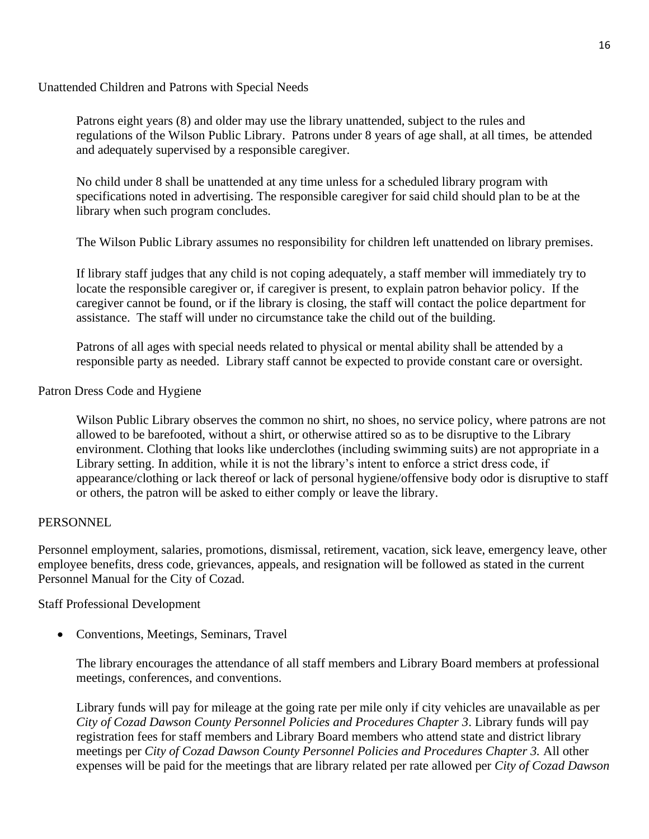Unattended Children and Patrons with Special Needs

Patrons eight years (8) and older may use the library unattended, subject to the rules and regulations of the Wilson Public Library. Patrons under 8 years of age shall, at all times, be attended and adequately supervised by a responsible caregiver.

No child under 8 shall be unattended at any time unless for a scheduled library program with specifications noted in advertising. The responsible caregiver for said child should plan to be at the library when such program concludes.

The Wilson Public Library assumes no responsibility for children left unattended on library premises.

If library staff judges that any child is not coping adequately, a staff member will immediately try to locate the responsible caregiver or, if caregiver is present, to explain patron behavior policy. If the caregiver cannot be found, or if the library is closing, the staff will contact the police department for assistance. The staff will under no circumstance take the child out of the building.

Patrons of all ages with special needs related to physical or mental ability shall be attended by a responsible party as needed. Library staff cannot be expected to provide constant care or oversight.

# Patron Dress Code and Hygiene

Wilson Public Library observes the common no shirt, no shoes, no service policy, where patrons are not allowed to be barefooted, without a shirt, or otherwise attired so as to be disruptive to the Library environment. Clothing that looks like underclothes (including swimming suits) are not appropriate in a Library setting. In addition, while it is not the library's intent to enforce a strict dress code, if appearance/clothing or lack thereof or lack of personal hygiene/offensive body odor is disruptive to staff or others, the patron will be asked to either comply or leave the library.

# PERSONNEL

Personnel employment, salaries, promotions, dismissal, retirement, vacation, sick leave, emergency leave, other employee benefits, dress code, grievances, appeals, and resignation will be followed as stated in the current Personnel Manual for the City of Cozad.

# Staff Professional Development

• Conventions, Meetings, Seminars, Travel

The library encourages the attendance of all staff members and Library Board members at professional meetings, conferences, and conventions.

Library funds will pay for mileage at the going rate per mile only if city vehicles are unavailable as per *City of Cozad Dawson County Personnel Policies and Procedures Chapter 3*. Library funds will pay registration fees for staff members and Library Board members who attend state and district library meetings per *City of Cozad Dawson County Personnel Policies and Procedures Chapter 3.* All other expenses will be paid for the meetings that are library related per rate allowed per *City of Cozad Dawson*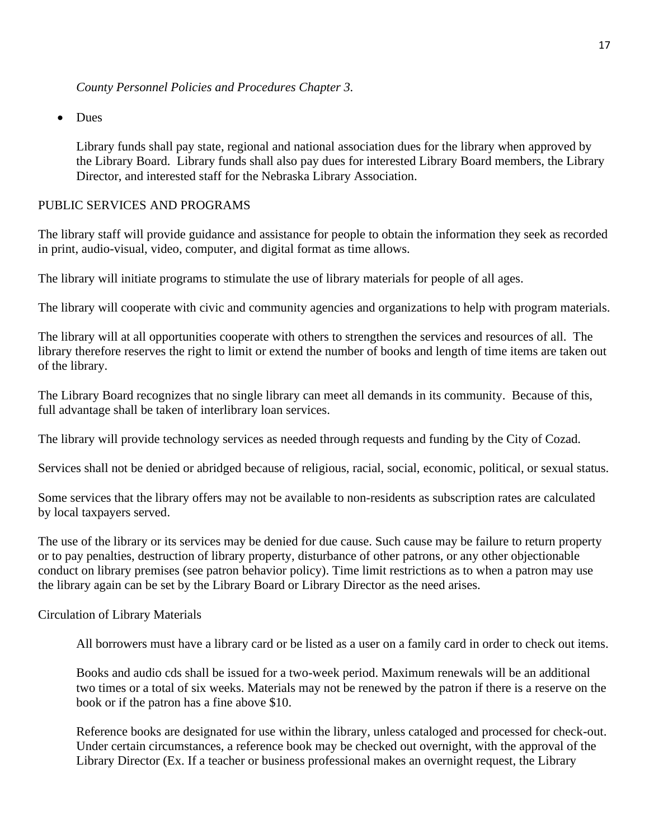• Dues

Library funds shall pay state, regional and national association dues for the library when approved by the Library Board. Library funds shall also pay dues for interested Library Board members, the Library Director, and interested staff for the Nebraska Library Association.

### PUBLIC SERVICES AND PROGRAMS

The library staff will provide guidance and assistance for people to obtain the information they seek as recorded in print, audio-visual, video, computer, and digital format as time allows.

The library will initiate programs to stimulate the use of library materials for people of all ages.

The library will cooperate with civic and community agencies and organizations to help with program materials.

The library will at all opportunities cooperate with others to strengthen the services and resources of all. The library therefore reserves the right to limit or extend the number of books and length of time items are taken out of the library.

The Library Board recognizes that no single library can meet all demands in its community. Because of this, full advantage shall be taken of interlibrary loan services.

The library will provide technology services as needed through requests and funding by the City of Cozad.

Services shall not be denied or abridged because of religious, racial, social, economic, political, or sexual status.

Some services that the library offers may not be available to non-residents as subscription rates are calculated by local taxpayers served.

The use of the library or its services may be denied for due cause. Such cause may be failure to return property or to pay penalties, destruction of library property, disturbance of other patrons, or any other objectionable conduct on library premises (see patron behavior policy). Time limit restrictions as to when a patron may use the library again can be set by the Library Board or Library Director as the need arises.

#### Circulation of Library Materials

All borrowers must have a library card or be listed as a user on a family card in order to check out items.

Books and audio cds shall be issued for a two-week period. Maximum renewals will be an additional two times or a total of six weeks. Materials may not be renewed by the patron if there is a reserve on the book or if the patron has a fine above \$10.

Reference books are designated for use within the library, unless cataloged and processed for check-out. Under certain circumstances, a reference book may be checked out overnight, with the approval of the Library Director (Ex. If a teacher or business professional makes an overnight request, the Library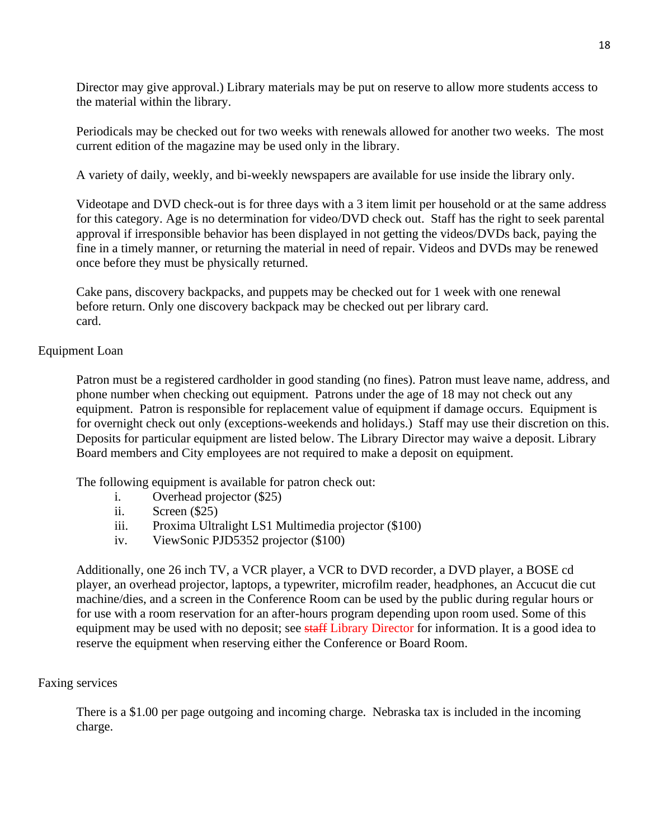Director may give approval.) Library materials may be put on reserve to allow more students access to the material within the library.

Periodicals may be checked out for two weeks with renewals allowed for another two weeks. The most current edition of the magazine may be used only in the library.

A variety of daily, weekly, and bi-weekly newspapers are available for use inside the library only.

Videotape and DVD check-out is for three days with a 3 item limit per household or at the same address for this category. Age is no determination for video/DVD check out. Staff has the right to seek parental approval if irresponsible behavior has been displayed in not getting the videos/DVDs back, paying the fine in a timely manner, or returning the material in need of repair. Videos and DVDs may be renewed once before they must be physically returned.

Cake pans, discovery backpacks, and puppets may be checked out for 1 week with one renewal before return. Only one discovery backpack may be checked out per library card. card.

## Equipment Loan

Patron must be a registered cardholder in good standing (no fines). Patron must leave name, address, and phone number when checking out equipment. Patrons under the age of 18 may not check out any equipment. Patron is responsible for replacement value of equipment if damage occurs. Equipment is for overnight check out only (exceptions-weekends and holidays.) Staff may use their discretion on this. Deposits for particular equipment are listed below. The Library Director may waive a deposit. Library Board members and City employees are not required to make a deposit on equipment.

The following equipment is available for patron check out:

- i. Overhead projector (\$25)
- ii. Screen (\$25)
- iii. Proxima Ultralight LS1 Multimedia projector (\$100)
- iv. ViewSonic PJD5352 projector (\$100)

Additionally, one 26 inch TV, a VCR player, a VCR to DVD recorder, a DVD player, a BOSE cd player, an overhead projector, laptops, a typewriter, microfilm reader, headphones, an Accucut die cut machine/dies, and a screen in the Conference Room can be used by the public during regular hours or for use with a room reservation for an after-hours program depending upon room used. Some of this equipment may be used with no deposit; see staff Library Director for information. It is a good idea to reserve the equipment when reserving either the Conference or Board Room.

#### Faxing services

There is a \$1.00 per page outgoing and incoming charge. Nebraska tax is included in the incoming charge.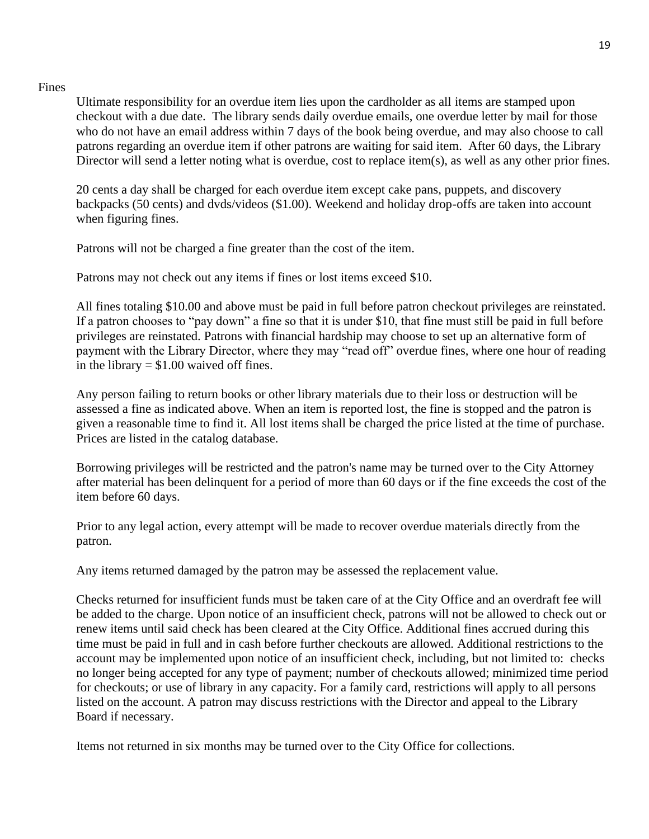### Fines

Ultimate responsibility for an overdue item lies upon the cardholder as all items are stamped upon checkout with a due date. The library sends daily overdue emails, one overdue letter by mail for those who do not have an email address within 7 days of the book being overdue, and may also choose to call patrons regarding an overdue item if other patrons are waiting for said item. After 60 days, the Library Director will send a letter noting what is overdue, cost to replace item(s), as well as any other prior fines.

20 cents a day shall be charged for each overdue item except cake pans, puppets, and discovery backpacks (50 cents) and dvds/videos (\$1.00). Weekend and holiday drop-offs are taken into account when figuring fines.

Patrons will not be charged a fine greater than the cost of the item.

Patrons may not check out any items if fines or lost items exceed \$10.

All fines totaling \$10.00 and above must be paid in full before patron checkout privileges are reinstated. If a patron chooses to "pay down" a fine so that it is under \$10, that fine must still be paid in full before privileges are reinstated. Patrons with financial hardship may choose to set up an alternative form of payment with the Library Director, where they may "read off" overdue fines, where one hour of reading in the library  $= $1.00$  waived off fines.

Any person failing to return books or other library materials due to their loss or destruction will be assessed a fine as indicated above. When an item is reported lost, the fine is stopped and the patron is given a reasonable time to find it. All lost items shall be charged the price listed at the time of purchase. Prices are listed in the catalog database.

Borrowing privileges will be restricted and the patron's name may be turned over to the City Attorney after material has been delinquent for a period of more than 60 days or if the fine exceeds the cost of the item before 60 days.

Prior to any legal action, every attempt will be made to recover overdue materials directly from the patron.

Any items returned damaged by the patron may be assessed the replacement value.

Checks returned for insufficient funds must be taken care of at the City Office and an overdraft fee will be added to the charge. Upon notice of an insufficient check, patrons will not be allowed to check out or renew items until said check has been cleared at the City Office. Additional fines accrued during this time must be paid in full and in cash before further checkouts are allowed. Additional restrictions to the account may be implemented upon notice of an insufficient check, including, but not limited to: checks no longer being accepted for any type of payment; number of checkouts allowed; minimized time period for checkouts; or use of library in any capacity. For a family card, restrictions will apply to all persons listed on the account. A patron may discuss restrictions with the Director and appeal to the Library Board if necessary.

Items not returned in six months may be turned over to the City Office for collections.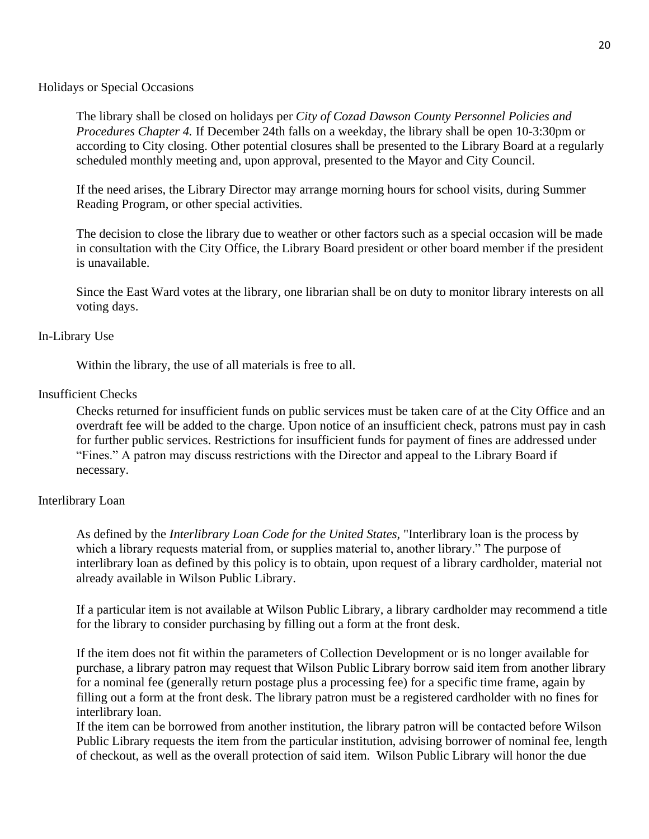Holidays or Special Occasions

The library shall be closed on holidays per *City of Cozad Dawson County Personnel Policies and Procedures Chapter 4.* If December 24th falls on a weekday, the library shall be open 10-3:30pm or according to City closing. Other potential closures shall be presented to the Library Board at a regularly scheduled monthly meeting and, upon approval, presented to the Mayor and City Council.

If the need arises, the Library Director may arrange morning hours for school visits, during Summer Reading Program, or other special activities.

The decision to close the library due to weather or other factors such as a special occasion will be made in consultation with the City Office, the Library Board president or other board member if the president is unavailable.

Since the East Ward votes at the library, one librarian shall be on duty to monitor library interests on all voting days.

### In-Library Use

Within the library, the use of all materials is free to all.

### Insufficient Checks

Checks returned for insufficient funds on public services must be taken care of at the City Office and an overdraft fee will be added to the charge. Upon notice of an insufficient check, patrons must pay in cash for further public services. Restrictions for insufficient funds for payment of fines are addressed under "Fines." A patron may discuss restrictions with the Director and appeal to the Library Board if necessary.

## Interlibrary Loan

As defined by the *Interlibrary Loan Code for the United States*, "Interlibrary loan is the process by which a library requests material from, or supplies material to, another library." The purpose of interlibrary loan as defined by this policy is to obtain, upon request of a library cardholder, material not already available in Wilson Public Library.

If a particular item is not available at Wilson Public Library, a library cardholder may recommend a title for the library to consider purchasing by filling out a form at the front desk.

If the item does not fit within the parameters of Collection Development or is no longer available for purchase, a library patron may request that Wilson Public Library borrow said item from another library for a nominal fee (generally return postage plus a processing fee) for a specific time frame, again by filling out a form at the front desk. The library patron must be a registered cardholder with no fines for interlibrary loan.

If the item can be borrowed from another institution, the library patron will be contacted before Wilson Public Library requests the item from the particular institution, advising borrower of nominal fee, length of checkout, as well as the overall protection of said item. Wilson Public Library will honor the due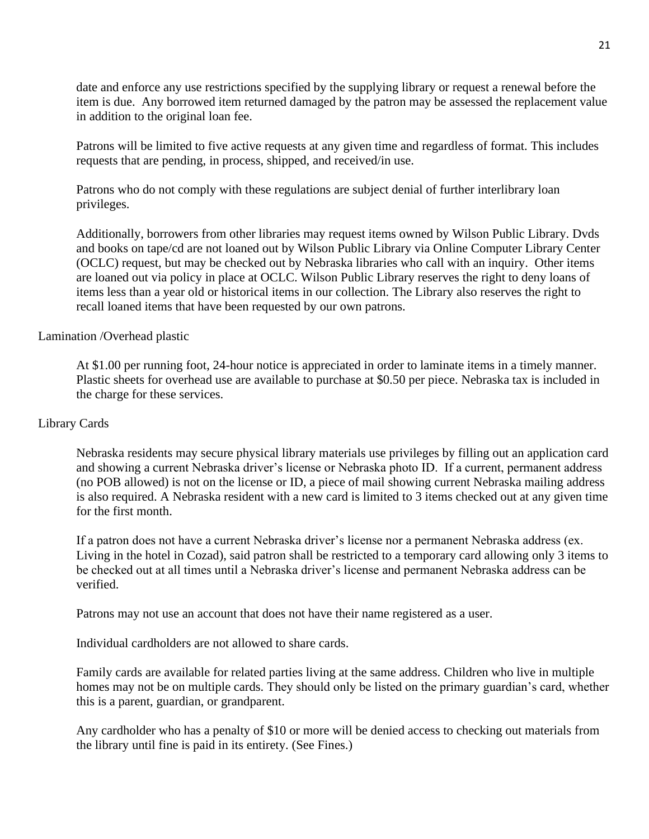date and enforce any use restrictions specified by the supplying library or request a renewal before the item is due. Any borrowed item returned damaged by the patron may be assessed the replacement value in addition to the original loan fee.

Patrons will be limited to five active requests at any given time and regardless of format. This includes requests that are pending, in process, shipped, and received/in use.

Patrons who do not comply with these regulations are subject denial of further interlibrary loan privileges.

Additionally, borrowers from other libraries may request items owned by Wilson Public Library. Dvds and books on tape/cd are not loaned out by Wilson Public Library via Online Computer Library Center (OCLC) request, but may be checked out by Nebraska libraries who call with an inquiry. Other items are loaned out via policy in place at OCLC. Wilson Public Library reserves the right to deny loans of items less than a year old or historical items in our collection. The Library also reserves the right to recall loaned items that have been requested by our own patrons.

### Lamination /Overhead plastic

At \$1.00 per running foot, 24-hour notice is appreciated in order to laminate items in a timely manner. Plastic sheets for overhead use are available to purchase at \$0.50 per piece. Nebraska tax is included in the charge for these services.

#### Library Cards

Nebraska residents may secure physical library materials use privileges by filling out an application card and showing a current Nebraska driver's license or Nebraska photo ID. If a current, permanent address (no POB allowed) is not on the license or ID, a piece of mail showing current Nebraska mailing address is also required. A Nebraska resident with a new card is limited to 3 items checked out at any given time for the first month.

If a patron does not have a current Nebraska driver's license nor a permanent Nebraska address (ex. Living in the hotel in Cozad), said patron shall be restricted to a temporary card allowing only 3 items to be checked out at all times until a Nebraska driver's license and permanent Nebraska address can be verified.

Patrons may not use an account that does not have their name registered as a user.

Individual cardholders are not allowed to share cards.

Family cards are available for related parties living at the same address. Children who live in multiple homes may not be on multiple cards. They should only be listed on the primary guardian's card, whether this is a parent, guardian, or grandparent.

Any cardholder who has a penalty of \$10 or more will be denied access to checking out materials from the library until fine is paid in its entirety. (See Fines.)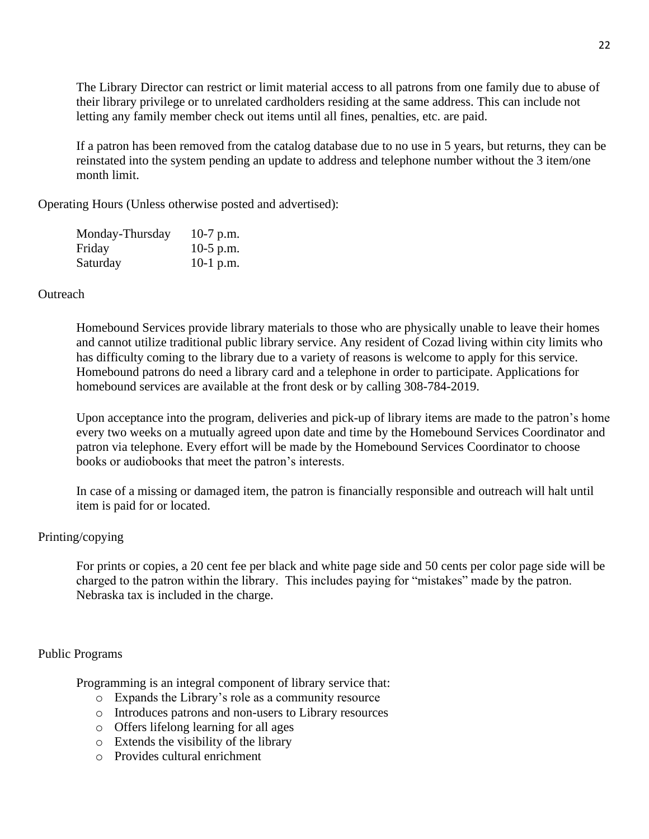The Library Director can restrict or limit material access to all patrons from one family due to abuse of their library privilege or to unrelated cardholders residing at the same address. This can include not letting any family member check out items until all fines, penalties, etc. are paid.

If a patron has been removed from the catalog database due to no use in 5 years, but returns, they can be reinstated into the system pending an update to address and telephone number without the 3 item/one month limit.

Operating Hours (Unless otherwise posted and advertised):

| Monday-Thursday | 10-7 p.m.   |
|-----------------|-------------|
| Friday          | $10-5$ p.m. |
| Saturday        | 10-1 p.m.   |

## **Outreach**

Homebound Services provide library materials to those who are physically unable to leave their homes and cannot utilize traditional public library service. Any resident of Cozad living within city limits who has difficulty coming to the library due to a variety of reasons is welcome to apply for this service. Homebound patrons do need a library card and a telephone in order to participate. Applications for homebound services are available at the front desk or by calling 308-784-2019.

Upon acceptance into the program, deliveries and pick-up of library items are made to the patron's home every two weeks on a mutually agreed upon date and time by the Homebound Services Coordinator and patron via telephone. Every effort will be made by the Homebound Services Coordinator to choose books or audiobooks that meet the patron's interests.

In case of a missing or damaged item, the patron is financially responsible and outreach will halt until item is paid for or located.

# Printing/copying

For prints or copies, a 20 cent fee per black and white page side and 50 cents per color page side will be charged to the patron within the library. This includes paying for "mistakes" made by the patron. Nebraska tax is included in the charge.

## Public Programs

Programming is an integral component of library service that:

- o Expands the Library's role as a community resource
- o Introduces patrons and non-users to Library resources
- o Offers lifelong learning for all ages
- o Extends the visibility of the library
- o Provides cultural enrichment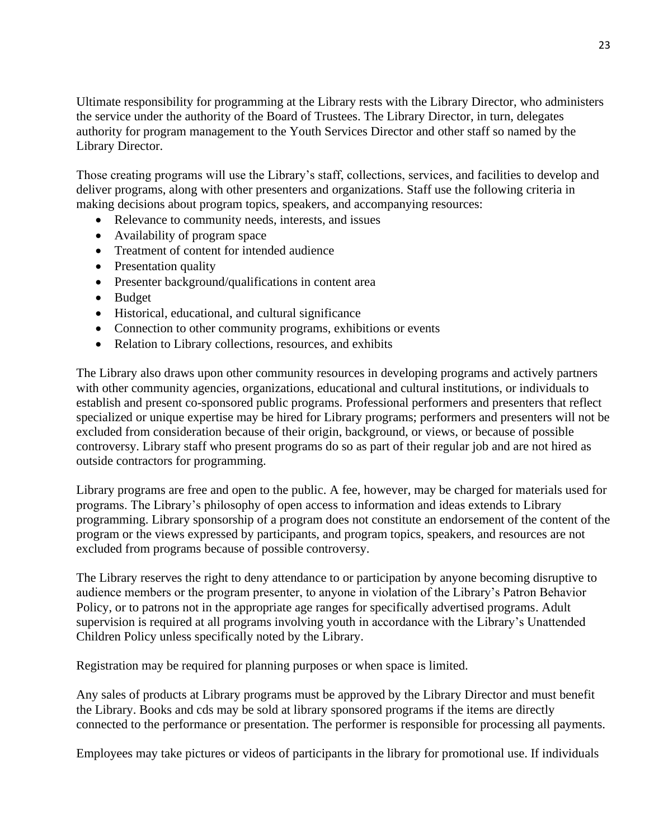Ultimate responsibility for programming at the Library rests with the Library Director, who administers the service under the authority of the Board of Trustees. The Library Director, in turn, delegates authority for program management to the Youth Services Director and other staff so named by the Library Director.

Those creating programs will use the Library's staff, collections, services, and facilities to develop and deliver programs, along with other presenters and organizations. Staff use the following criteria in making decisions about program topics, speakers, and accompanying resources:

- Relevance to community needs, interests, and issues
- Availability of program space
- Treatment of content for intended audience
- Presentation quality
- Presenter background/qualifications in content area
- Budget
- Historical, educational, and cultural significance
- Connection to other community programs, exhibitions or events
- Relation to Library collections, resources, and exhibits

The Library also draws upon other community resources in developing programs and actively partners with other community agencies, organizations, educational and cultural institutions, or individuals to establish and present co-sponsored public programs. Professional performers and presenters that reflect specialized or unique expertise may be hired for Library programs; performers and presenters will not be excluded from consideration because of their origin, background, or views, or because of possible controversy. Library staff who present programs do so as part of their regular job and are not hired as outside contractors for programming.

Library programs are free and open to the public. A fee, however, may be charged for materials used for programs. The Library's philosophy of open access to information and ideas extends to Library programming. Library sponsorship of a program does not constitute an endorsement of the content of the program or the views expressed by participants, and program topics, speakers, and resources are not excluded from programs because of possible controversy.

The Library reserves the right to deny attendance to or participation by anyone becoming disruptive to audience members or the program presenter, to anyone in violation of the Library's Patron Behavior Policy, or to patrons not in the appropriate age ranges for specifically advertised programs. Adult supervision is required at all programs involving youth in accordance with the Library's Unattended Children Policy unless specifically noted by the Library.

Registration may be required for planning purposes or when space is limited.

Any sales of products at Library programs must be approved by the Library Director and must benefit the Library. Books and cds may be sold at library sponsored programs if the items are directly connected to the performance or presentation. The performer is responsible for processing all payments.

Employees may take pictures or videos of participants in the library for promotional use. If individuals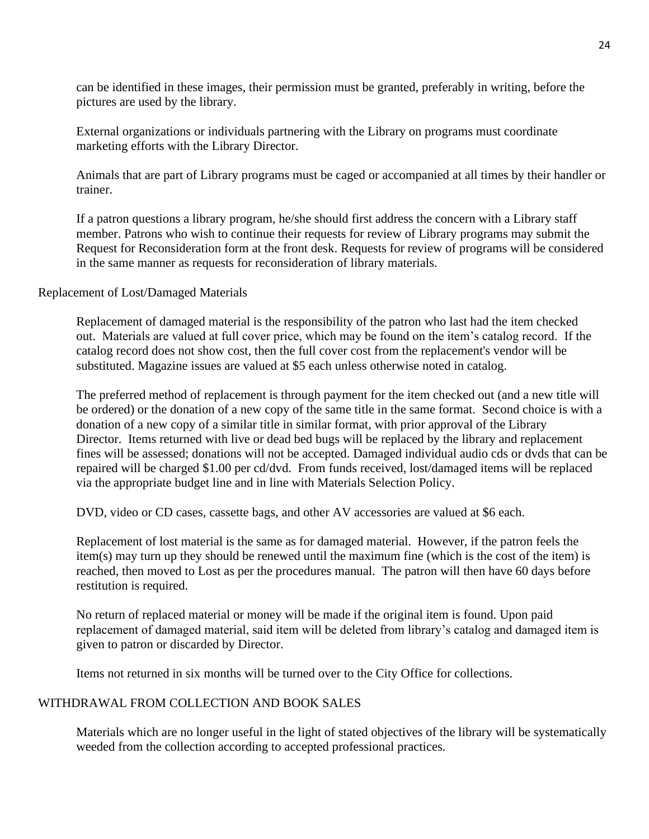can be identified in these images, their permission must be granted, preferably in writing, before the pictures are used by the library.

External organizations or individuals partnering with the Library on programs must coordinate marketing efforts with the Library Director.

Animals that are part of Library programs must be caged or accompanied at all times by their handler or trainer.

If a patron questions a library program, he/she should first address the concern with a Library staff member. Patrons who wish to continue their requests for review of Library programs may submit the Request for Reconsideration form at the front desk. Requests for review of programs will be considered in the same manner as requests for reconsideration of library materials.

Replacement of Lost/Damaged Materials

Replacement of damaged material is the responsibility of the patron who last had the item checked out. Materials are valued at full cover price, which may be found on the item's catalog record. If the catalog record does not show cost, then the full cover cost from the replacement's vendor will be substituted. Magazine issues are valued at \$5 each unless otherwise noted in catalog.

The preferred method of replacement is through payment for the item checked out (and a new title will be ordered) or the donation of a new copy of the same title in the same format. Second choice is with a donation of a new copy of a similar title in similar format, with prior approval of the Library Director. Items returned with live or dead bed bugs will be replaced by the library and replacement fines will be assessed; donations will not be accepted. Damaged individual audio cds or dvds that can be repaired will be charged \$1.00 per cd/dvd. From funds received, lost/damaged items will be replaced via the appropriate budget line and in line with Materials Selection Policy.

DVD, video or CD cases, cassette bags, and other AV accessories are valued at \$6 each.

Replacement of lost material is the same as for damaged material. However, if the patron feels the item(s) may turn up they should be renewed until the maximum fine (which is the cost of the item) is reached, then moved to Lost as per the procedures manual. The patron will then have 60 days before restitution is required.

No return of replaced material or money will be made if the original item is found. Upon paid replacement of damaged material, said item will be deleted from library's catalog and damaged item is given to patron or discarded by Director.

Items not returned in six months will be turned over to the City Office for collections.

## WITHDRAWAL FROM COLLECTION AND BOOK SALES

Materials which are no longer useful in the light of stated objectives of the library will be systematically weeded from the collection according to accepted professional practices.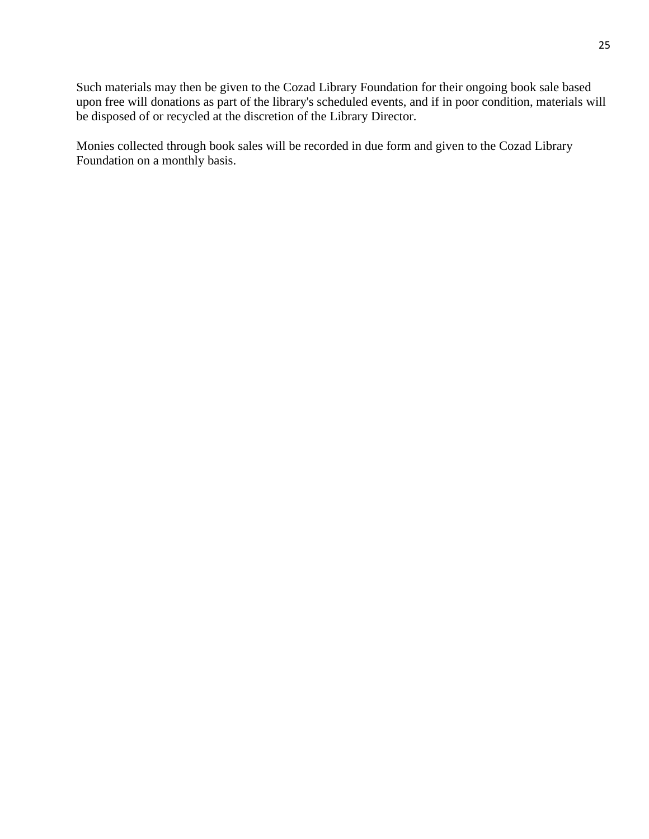Such materials may then be given to the Cozad Library Foundation for their ongoing book sale based upon free will donations as part of the library's scheduled events, and if in poor condition, materials will be disposed of or recycled at the discretion of the Library Director.

Monies collected through book sales will be recorded in due form and given to the Cozad Library Foundation on a monthly basis.